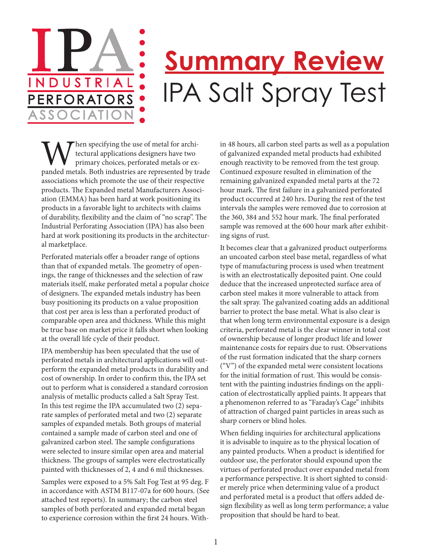## **Summary Review** IPA Salt Spray Test

When specifying the use of metal for archi-<br>tectural applications designers have two<br>primary choices, perforated metals or ex-<br>panded metals. Both industries are represented by trade tectural applications designers have two primary choices, perforated metals or exassociations which promote the use of their respective products. The Expanded metal Manufacturers Association (EMMA) has been hard at work positioning its products in a favorable light to architects with claims of durability, flexibility and the claim of "no scrap". The Industrial Perforating Association (IPA) has also been hard at work positioning its products in the architectural marketplace.

NDUSTRIA

PERFORATO

Perforated materials offer a broader range of options than that of expanded metals. The geometry of openings, the range of thicknesses and the selection of raw materials itself, make perforated metal a popular choice of designers. The expanded metals industry has been busy positioning its products on a value proposition that cost per area is less than a perforated product of comparable open area and thickness. While this might be true base on market price it falls short when looking at the overall life cycle of their product.

IPA membership has been speculated that the use of perforated metals in architectural applications will outperform the expanded metal products in durability and cost of ownership. In order to confirm this, the IPA set out to perform what is considered a standard corrosion analysis of metallic products called a Salt Spray Test. In this test regime the IPA accumulated two (2) separate samples of perforated metal and two (2) separate samples of expanded metals. Both groups of material contained a sample made of carbon steel and one of galvanized carbon steel. The sample configurations were selected to insure similar open area and material thickness. The groups of samples were electrostatically painted with thicknesses of 2, 4 and 6 mil thicknesses.

Samples were exposed to a 5% Salt Fog Test at 95 deg. F in accordance with ASTM B117-07a for 600 hours. (See attached test reports). In summary; the carbon steel samples of both perforated and expanded metal began to experience corrosion within the first 24 hours. Within 48 hours, all carbon steel parts as well as a population of galvanized expanded metal products had exhibited enough reactivity to be removed from the test group. Continued exposure resulted in elimination of the remaining galvanized expanded metal parts at the 72 hour mark. The first failure in a galvanized perforated product occurred at 240 hrs. During the rest of the test intervals the samples were removed due to corrosion at the 360, 384 and 552 hour mark. The final perforated sample was removed at the 600 hour mark after exhibiting signs of rust.

It becomes clear that a galvanized product outperforms an uncoated carbon steel base metal, regardless of what type of manufacturing process is used when treatment is with an electrostatically deposited paint. One could deduce that the increased unprotected surface area of carbon steel makes it more vulnerable to attack from the salt spray. The galvanized coating adds an additional barrier to protect the base metal. What is also clear is that when long term environmental exposure is a design criteria, perforated metal is the clear winner in total cost of ownership because of longer product life and lower maintenance costs for repairs due to rust. Observations of the rust formation indicated that the sharp corners ("V") of the expanded metal were consistent locations for the initial formation of rust. This would be consistent with the painting industries findings on the application of electrostatically applied paints. It appears that a phenomenon referred to as "Faraday's Cage" inhibits of attraction of charged paint particles in areas such as sharp corners or blind holes.

When fielding inquiries for architectural applications it is advisable to inquire as to the physical location of any painted products. When a product is identified for outdoor use, the perforator should expound upon the virtues of perforated product over expanded metal from a performance perspective. It is short sighted to consider merely price when determining value of a product and perforated metal is a product that offers added design flexibility as well as long term performance; a value proposition that should be hard to beat.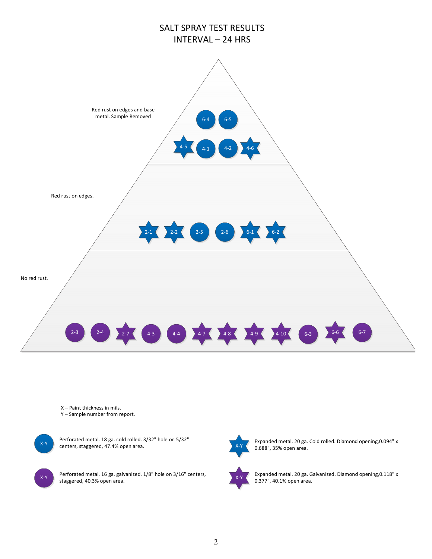

Y – Sample number from report.

 $X-Y$  centers, staggered, 47.4% open area. Perforated metal. 18 ga. cold rolled. 3/32" hole on 5/32"

 $X-Y$  Perforated metal. 16 ga. galvanized. 1/8" hole on 3/16" centers, staggered, 40.3% open area.

Expanded metal. 20 ga. Cold rolled. Diamond opening,0.094" x 0.688", 35% open area.

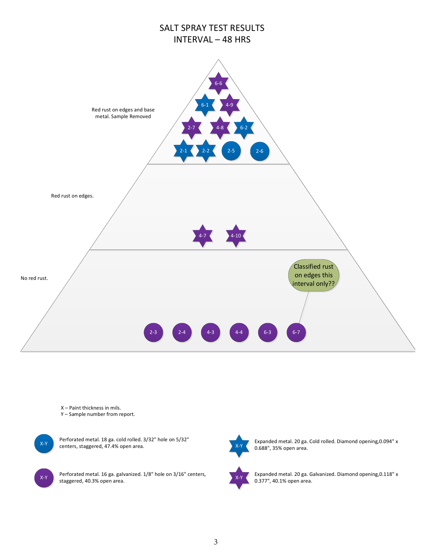

Y – Sample number from report.

 $X-Y$  centers, staggered, 47.4% open area. Perforated metal. 18 ga. cold rolled. 3/32" hole on 5/32"

 $X-Y$  Perforated metal. 16 ga. galvanized. 1/8" hole on 3/16" centers, staggered, 40.3% open area.



Expanded metal. 20 ga. Cold rolled. Diamond opening,0.094" x 0.688", 35% open area.

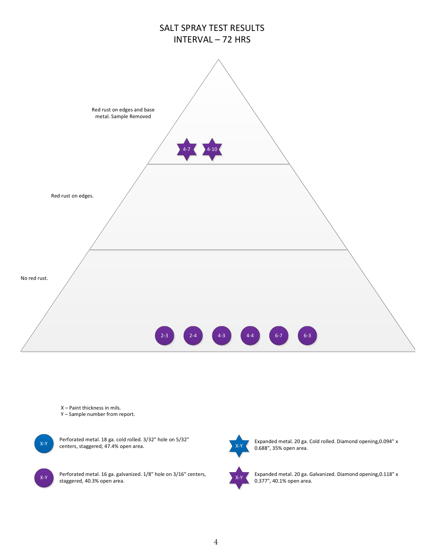

Y – Sample number from report.

 $X-Y$  centers, staggered, 47.4% open area. Perforated metal. 18 ga. cold rolled. 3/32" hole on 5/32"

 $X-Y$  Perforated metal. 16 ga. galvanized. 1/8" hole on 3/16" centers, staggered, 40.3% open area.



Expanded metal. 20 ga. Cold rolled. Diamond opening,0.094" x 0.688", 35% open area.

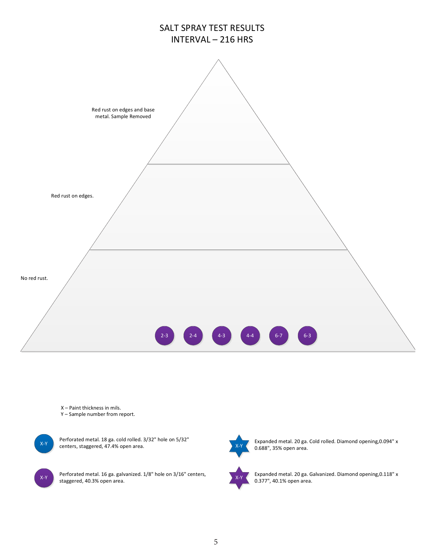

Y – Sample number from report.

 $X-Y$  centers, staggered, 47.4% open area. Perforated metal. 18 ga. cold rolled. 3/32" hole on 5/32"

 $X-Y$  Perforated metal. 16 ga. galvanized. 1/8" hole on 3/16" centers, staggered, 40.3% open area.

Expanded metal. 20 ga. Cold rolled. Diamond opening,0.094" x 0.688", 35% open area.

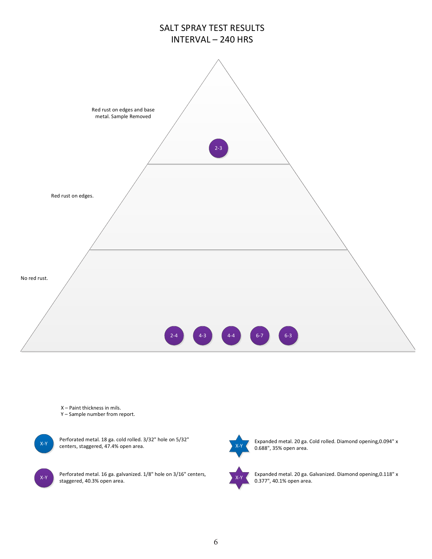

Y – Sample number from report.

 $X-Y$  centers, staggered, 47.4% open area. Perforated metal. 18 ga. cold rolled. 3/32" hole on 5/32"

 $X-Y$  Perforated metal. 16 ga. galvanized. 1/8" hole on 3/16" centers, staggered, 40.3% open area.



Expanded metal. 20 ga. Cold rolled. Diamond opening,0.094" x 0.688", 35% open area.

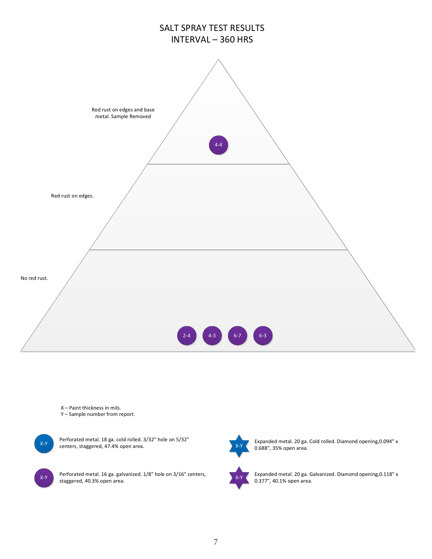

Y – Sample number from report.

 $X-Y$  centers, staggered, 47.4% open area. Perforated metal. 18 ga. cold rolled. 3/32" hole on 5/32"

 $X-Y$  Perforated metal. 16 ga. galvanized. 1/8" hole on 3/16" centers, staggered, 40.3% open area.



Expanded metal. 20 ga. Cold rolled. Diamond opening,0.094" x 0.688", 35% open area.

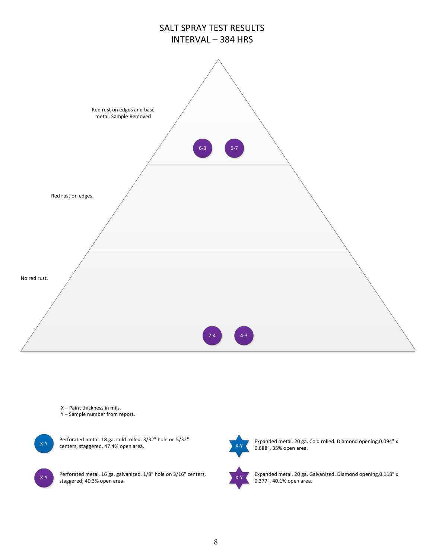

Y – Sample number from report.

 $X-Y$  centers, staggered, 47.4% open area. Perforated metal. 18 ga. cold rolled. 3/32" hole on 5/32"

 $X-Y$  Perforated metal. 16 ga. galvanized. 1/8" hole on 3/16" centers, staggered, 40.3% open area.

Expanded metal. 20 ga. Cold rolled. Diamond opening,0.094" x 0.688", 35% open area.

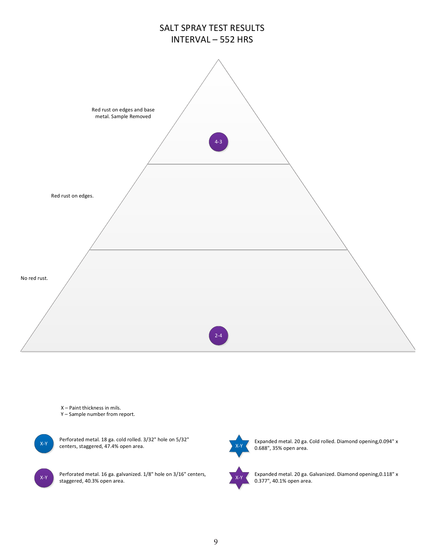

Y – Sample number from report.

 $X-Y$  centers, staggered, 47.4% open area. Perforated metal. 18 ga. cold rolled. 3/32" hole on 5/32"

 $X-Y$  Perforated metal. 16 ga. galvanized. 1/8" hole on 3/16" centers, staggered, 40.3% open area.



Expanded metal. 20 ga. Cold rolled. Diamond opening,0.094" x 0.688", 35% open area.